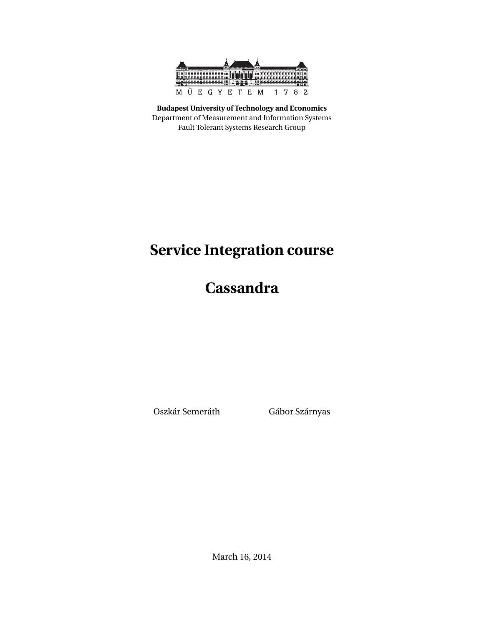

**Budapest University of Technology and Economics** Department of Measurement and Information Systems Fault Tolerant Systems Research Group

# **Service Integration course**

**Cassandra**

Oszkár Semeráth Gábor Szárnyas

March 16, 2014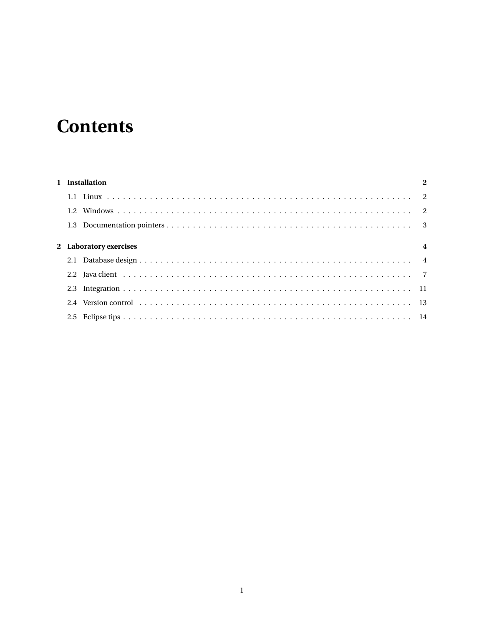# **Contents**

| 1 Installation |                        |                         |  |  |  |  |  |  |  |
|----------------|------------------------|-------------------------|--|--|--|--|--|--|--|
|                |                        |                         |  |  |  |  |  |  |  |
|                |                        |                         |  |  |  |  |  |  |  |
|                |                        |                         |  |  |  |  |  |  |  |
|                | 2 Laboratory exercises | $\overline{\mathbf{4}}$ |  |  |  |  |  |  |  |
|                |                        |                         |  |  |  |  |  |  |  |
|                |                        |                         |  |  |  |  |  |  |  |
|                |                        |                         |  |  |  |  |  |  |  |
|                |                        |                         |  |  |  |  |  |  |  |
|                |                        |                         |  |  |  |  |  |  |  |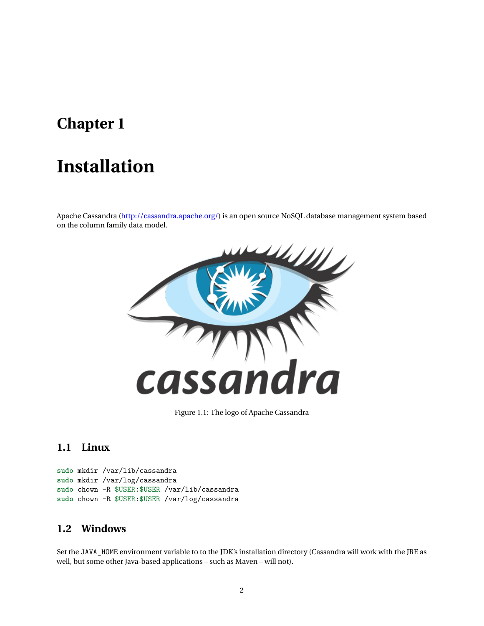## <span id="page-2-0"></span>**Chapter 1**

# **Installation**

Apache Cassandra [\(http://cassandra.apache.org/\)](http://cassandra.apache.org/) is an open source NoSQL database management system based on the column family data model.



Figure 1.1: The logo of Apache Cassandra

## <span id="page-2-1"></span>**1.1 Linux**

```
sudo mkdir /var/lib/cassandra
sudo mkdir /var/log/cassandra
sudo chown -R $USER:$USER /var/lib/cassandra
sudo chown -R $USER:$USER /var/log/cassandra
```
#### <span id="page-2-2"></span>**1.2 Windows**

Set the JAVA\_HOME environment variable to to the JDK's installation directory (Cassandra will work with the JRE as well, but some other Java-based applications – such as Maven – will not).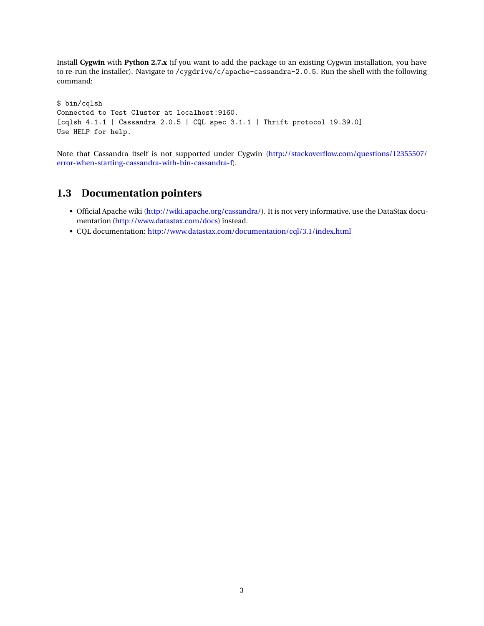Install **Cygwin** with **Python 2.7.x** (if you want to add the package to an existing Cygwin installation, you have to re-run the installer). Navigate to /cygdrive/c/apache-cassandra-2.0.5. Run the shell with the following command:

\$ bin/cqlsh Connected to Test Cluster at localhost:9160. [cqlsh 4.1.1 | Cassandra 2.0.5 | CQL spec 3.1.1 | Thrift protocol 19.39.0] Use HELP for help.

Note that Cassandra itself is not supported under Cygwin [\(http://stackoverflow.com/questions/12355507/](http://stackoverflow.com/questions/12355507/error-when-starting-cassandra-with-bin-cassandra-f) [error-when-starting-cassandra-with-bin-cassandra-f\)](http://stackoverflow.com/questions/12355507/error-when-starting-cassandra-with-bin-cassandra-f).

## <span id="page-3-0"></span>**1.3 Documentation pointers**

- Official Apache wiki [\(http://wiki.apache.org/cassandra/\)](http://wiki.apache.org/cassandra/). It is not very informative, use the DataStax documentation [\(http://www.datastax.com/docs\)](http://www.datastax.com/docs) instead.
- CQL documentation: <http://www.datastax.com/documentation/cql/3.1/index.html>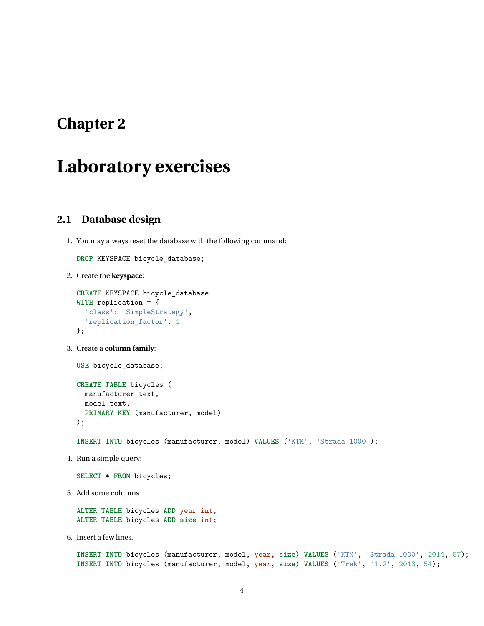## <span id="page-4-0"></span>**Chapter 2**

## **Laboratory exercises**

## <span id="page-4-1"></span>**2.1 Database design**

1. You may always reset the database with the following command:

**DROP** KEYSPACE bicycle\_database;

2. Create the **keyspace**:

```
CREATE KEYSPACE bicycle_database
WITH replication = {
  'class': 'SimpleStrategy',
  'replication_factor': 1
};
```
3. Create a **column family**:

**USE** bicycle\_database;

```
CREATE TABLE bicycles (
 manufacturer text,
 model text,
  PRIMARY KEY (manufacturer, model)
);
```
**INSERT INTO** bicycles (manufacturer, model) **VALUES** ('KTM', 'Strada 1000');

4. Run a simple query:

**SELECT** \* **FROM** bicycles;

5. Add some columns.

**ALTER TABLE** bicycles **ADD** year int; **ALTER TABLE** bicycles **ADD size** int;

6. Insert a few lines.

**INSERT INTO** bicycles (manufacturer, model, year, **size**) **VALUES** ('KTM', 'Strada 1000', 2014, 57); **INSERT INTO** bicycles (manufacturer, model, year, **size**) **VALUES** ('Trek', '1.2', 2013, 54);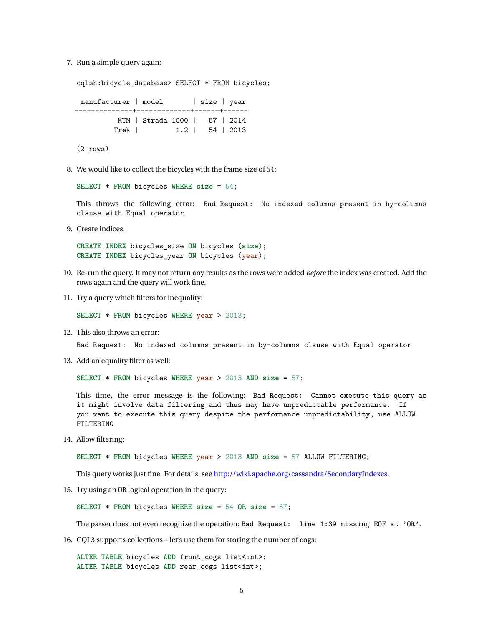7. Run a simple query again:

cqlsh:bicycle\_database> SELECT \* FROM bicycles; manufacturer | model | size | year --------------+-------------+------+------ KTM | Strada 1000 | 57 | 2014 Trek | 1.2 | 54 | 2013

(2 rows)

8. We would like to collect the bicycles with the frame size of 54:

**SELECT** \* **FROM** bicycles **WHERE size** = 54;

This throws the following error: Bad Request: No indexed columns present in by-columns clause with Equal operator.

9. Create indices.

**CREATE INDEX** bicycles\_size **ON** bicycles (**size**); **CREATE INDEX** bicycles\_year **ON** bicycles (year);

- 10. Re-run the query. It may not return any results as the rows were added *before* the index was created. Add the rows again and the query will work fine.
- 11. Try a query which filters for inequality:

**SELECT** \* **FROM** bicycles **WHERE** year > 2013;

12. This also throws an error:

Bad Request: No indexed columns present in by-columns clause with Equal operator

13. Add an equality filter as well:

**SELECT** \* **FROM** bicycles **WHERE** year > 2013 **AND size** = 57;

This time, the error message is the following: Bad Request: Cannot execute this query as it might involve data filtering and thus may have unpredictable performance. If you want to execute this query despite the performance unpredictability, use ALLOW FILTERING

14. Allow filtering:

**SELECT** \* **FROM** bicycles **WHERE** year > 2013 **AND size** = 57 ALLOW FILTERING;

This query works just fine. For details, see [http://wiki.apache.org/cassandra/SecondaryIndexes.](http://wiki.apache.org/cassandra/SecondaryIndexes)

15. Try using an OR logical operation in the query:

**SELECT** \* **FROM** bicycles **WHERE size** = 54 **OR size** = 57;

The parser does not even recognize the operation: Bad Request: line 1:39 missing EOF at 'OR'.

16. CQL3 supports collections – let's use them for storing the number of cogs:

**ALTER TABLE** bicycles **ADD** front\_cogs list<int>; **ALTER TABLE** bicycles **ADD** rear\_cogs list<int>;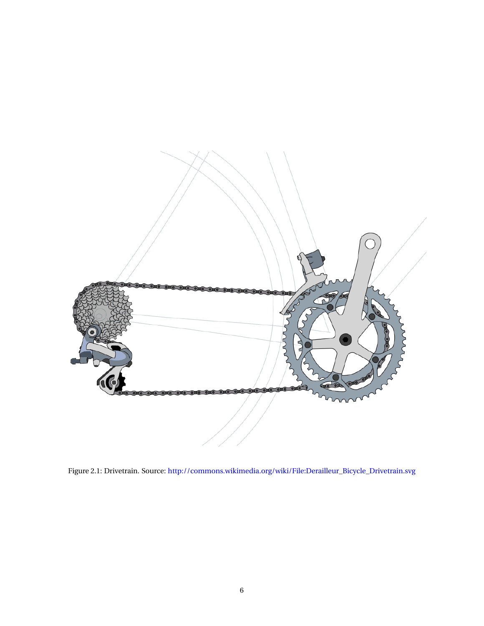

Figure 2.1: Drivetrain. Source: [http://commons.wikimedia.org/wiki/File:Derailleur\\_Bicycle\\_Drivetrain.svg](http://commons.wikimedia.org/wiki/File:Derailleur_Bicycle_Drivetrain.svg)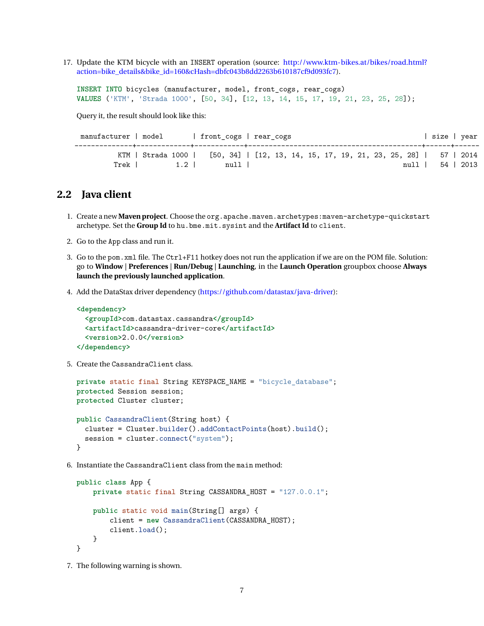17. Update the KTM bicycle with an INSERT operation (source: [http://www.ktm-bikes.at/bikes/road.html?](http://www.ktm-bikes.at/bikes/road.html?action=bike_details&bike_id=160&cHash=dbfc043b8dd2263b610187cf9d093fc7) [action=bike\\_details&bike\\_id=160&cHash=dbfc043b8dd2263b610187cf9d093fc7\)](http://www.ktm-bikes.at/bikes/road.html?action=bike_details&bike_id=160&cHash=dbfc043b8dd2263b610187cf9d093fc7).

```
INSERT INTO bicycles (manufacturer, model, front_cogs, rear_cogs)
VALUES ('KTM', 'Strada 1000', [50, 34], [12, 13, 14, 15, 17, 19, 21, 23, 25, 28]);
```
Query it, the result should look like this:

| manufacturer   model |  |       | front cogs   rear cogs                                                              |  |  |  |  |  |      |  | size   year |
|----------------------|--|-------|-------------------------------------------------------------------------------------|--|--|--|--|--|------|--|-------------|
|                      |  |       | KTM   Strada 1000   [50, 34]   [12, 13, 14, 15, 17, 19, 21, 23, 25, 28]   57   2014 |  |  |  |  |  |      |  |             |
| Trek                 |  | $1.2$ | null                                                                                |  |  |  |  |  | null |  | 54   2013   |

#### <span id="page-7-0"></span>**2.2 Java client**

- 1. Create a new **Maven project**. Choose the org.apache.maven.archetypes:maven-archetype-quickstart archetype. Set the **Group Id** to hu.bme.mit.sysint and the **Artifact Id** to client.
- 2. Go to the App class and run it.
- 3. Go to the pom.xml file. The Ctrl+F11 hotkey does not run the application if we are on the POM file. Solution: go to **Window** | **Preferences** | **Run/Debug** | **Launching**, in the **Launch Operation** groupbox choose **Always launch the previously launched application**.
- 4. Add the DataStax driver dependency [\(https://github.com/datastax/java-driver\)](https://github.com/datastax/java-driver):

```
<dependency>
  <groupId>com.datastax.cassandra</groupId>
  <artifactId>cassandra-driver-core</artifactId>
  <version>2.0.0</version>
</dependency>
```
5. Create the CassandraClient class.

```
private static final String KEYSPACE_NAME = "bicycle_database";
protected Session session;
protected Cluster cluster;
public CassandraClient(String host) {
  cluster = Cluster.builder().addContactPoints(host).build();
  session = cluster.connect("system");
}
```
6. Instantiate the CassandraClient class from the main method:

```
public class App {
    private static final String CASSANDRA_HOST = "127.0.0.1";
    public static void main(String[] args) {
        client = new CassandraClient(CASSANDRA_HOST);
        client.load();
    }
}
```
7. The following warning is shown.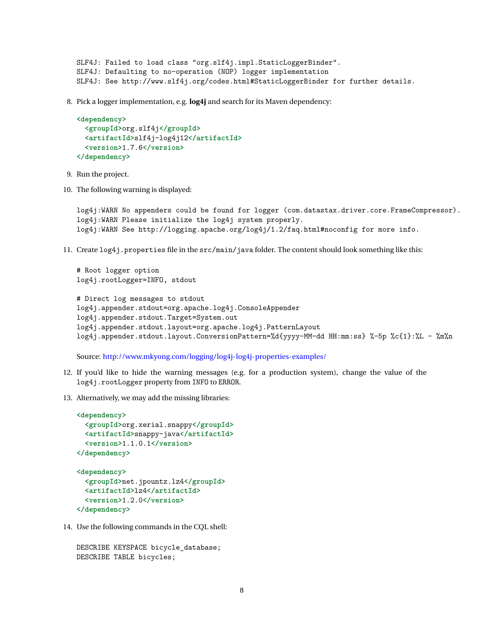```
SLF4J: Failed to load class "org.slf4j.impl.StaticLoggerBinder".
SLF4J: Defaulting to no-operation (NOP) logger implementation
SLF4J: See http://www.slf4j.org/codes.html#StaticLoggerBinder for further details.
```
8. Pick a logger implementation, e.g. **log4j** and search for its Maven dependency:

```
<dependency>
  <groupId>org.slf4j</groupId>
  <artifactId>slf4j-log4j12</artifactId>
  <version>1.7.6</version>
</dependency>
```
- 9. Run the project.
- 10. The following warning is displayed:

# Root logger option

log4j:WARN No appenders could be found for logger (com.datastax.driver.core.FrameCompressor). log4j:WARN Please initialize the log4j system properly. log4j:WARN See http://logging.apache.org/log4j/1.2/faq.html#noconfig for more info.

11. Create log4j.properties file in the src/main/java folder. The content should look something like this:

```
log4j.rootLogger=INFO, stdout
# Direct log messages to stdout
log4j.appender.stdout=org.apache.log4j.ConsoleAppender
log4j.appender.stdout.Target=System.out
log4j.appender.stdout.layout=org.apache.log4j.PatternLayout
log4j.appender.stdout.layout.ConversionPattern=%d{yyyy-MM-dd HH:mm:ss} %-5p %c{1}:%L - %m%n
```
Source: <http://www.mkyong.com/logging/log4j-log4j-properties-examples/>

- 12. If you'd like to hide the warning messages (e.g. for a production system), change the value of the log4j.rootLogger property from INFO to ERROR.
- 13. Alternatively, we may add the missing libraries:

```
<dependency>
  <groupId>org.xerial.snappy</groupId>
  <artifactId>snappy-java</artifactId>
  <version>1.1.0.1</version>
</dependency>
<dependency>
  <groupId>net.jpountz.lz4</groupId>
  <artifactId>lz4</artifactId>
  <version>1.2.0</version>
</dependency>
```
14. Use the following commands in the CQL shell:

```
DESCRIBE KEYSPACE bicycle_database;
DESCRIBE TABLE bicycles;
```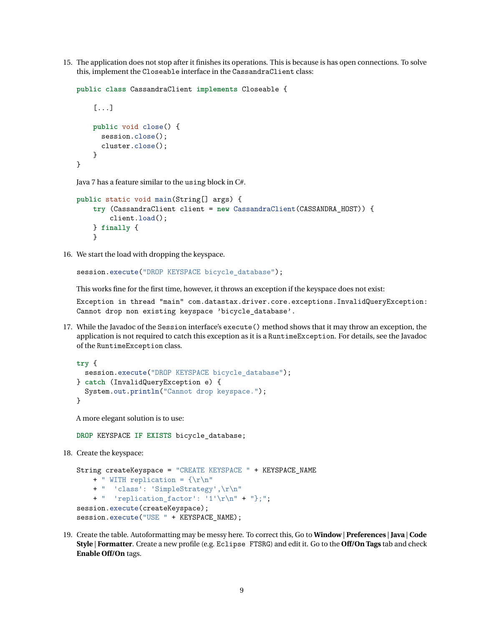15. The application does not stop after it finishes its operations. This is because is has open connections. To solve this, implement the Closeable interface in the CassandraClient class:

```
public class CassandraClient implements Closeable {
    [...]
    public void close() {
      session.close();
      cluster.close();
    }
}
```
Java 7 has a feature similar to the using block in C#.

```
public static void main(String[] args) {
    try (CassandraClient client = new CassandraClient(CASSANDRA_HOST)) {
        client.load();
    } finally {
    }
```
16. We start the load with dropping the keyspace.

session.execute("DROP KEYSPACE bicycle\_database");

This works fine for the first time, however, it throws an exception if the keyspace does not exist:

Exception in thread "main" com.datastax.driver.core.exceptions.InvalidQueryException: Cannot drop non existing keyspace 'bicycle\_database'.

17. While the Javadoc of the Session interface's execute() method shows that it may throw an exception, the application is not required to catch this exception as it is a RuntimeException. For details, see the Javadoc of the RuntimeException class.

```
try {
  session.execute("DROP KEYSPACE bicycle_database");
} catch (InvalidQueryException e) {
  System.out.println("Cannot drop keyspace.");
}
```
A more elegant solution is to use:

**DROP** KEYSPACE **IF EXISTS** bicycle\_database;

18. Create the keyspace:

```
String createKeyspace = "CREATE KEYSPACE " + KEYSPACE NAME
    + " WITH replication = {\rceil r \rceil}+ " 'class': 'SimpleStrategy',\r\n"
    + " 'replication factor': '1'\r\n" + "};";
session.execute(createKeyspace);
session.execute("USE " + KEYSPACE_NAME);
```
19. Create the table. Autoformatting may be messy here. To correct this, Go to **Window** | **Preferences** | **Java** | **Code Style** | **Formatter**. Create a new profile (e.g. Eclipse FTSRG) and edit it. Go to the **Off/On Tags** tab and check **Enable Off/On** tags.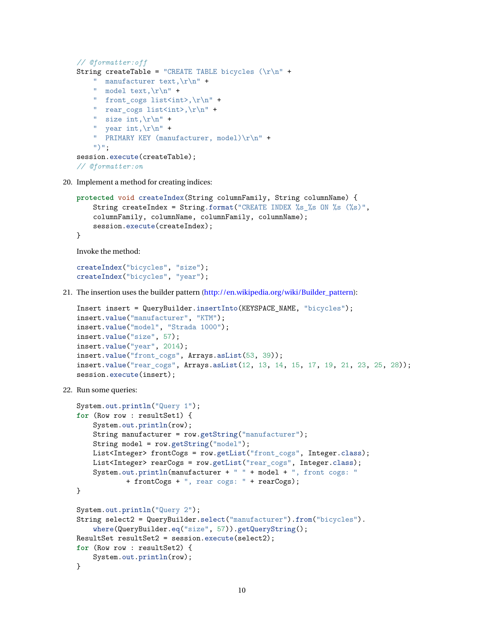```
// @formatter:off
String createTable = "CREATE TABLE bicycles (\r\n\cdot +
    " manufacturer text, \r \n\ln" +
    " model text, \r \n\frac{\r}{r} +
    " front cogs list<int>,\r\n" +
    " rear cogs list<int>,\r\n" +
    " size int.\nr\<sup>"</sup> +
    " year int, \r \n\ln" +
    " PRIMARY KEY (manufacturer, model)\r\n" +
    ")";
session.execute(createTable);
// @formatter:on
```
20. Implement a method for creating indices:

```
protected void createIndex(String columnFamily, String columnName) {
    String createIndex = String.format("CREATE INDEX %s_%s ON %s (%s)",
    columnFamily, columnName, columnFamily, columnName);
    session.execute(createIndex);
}
```
Invoke the method:

createIndex("bicycles", "size"); createIndex("bicycles", "year");

21. The insertion uses the builder pattern [\(http://en.wikipedia.org/wiki/Builder\\_pattern\)](http://en.wikipedia.org/wiki/Builder_pattern):

```
Insert insert = QueryBuilder.insertInto(KEYSPACE_NAME, "bicycles");
insert.value("manufacturer", "KTM");
insert.value("model", "Strada 1000");
insert.value("size", 57);
insert.value("year", 2014);
insert.value("front_cogs", Arrays.asList(53, 39));
insert.value("rear_cogs", Arrays.asList(12, 13, 14, 15, 17, 19, 21, 23, 25, 28));
session.execute(insert);
```
22. Run some queries:

```
System.out.println("Query 1");
for (Row row : resultSet1) {
   System.out.println(row);
    String manufacturer = row.getString("manufacturer");
    String model = row.getString("model");
   List<Integer> frontCogs = row.getList("front_cogs", Integer.class);
    List<Integer> rearCogs = row.getList("rear_cogs", Integer.class);
    System.out.println(manufacturer + " " + model + ", front cogs: "
            + frontCogs + ", rear cogs: " + rearCogs);
}
System.out.println("Query 2");
String select2 = QueryBuilder.select("manufacturer").from("bicycles").
    where(QueryBuilder.eq("size", 57)).getQueryString();
ResultSet resultSet2 = session.execute(select2);
for (Row row : resultSet2) {
   System.out.println(row);
}
```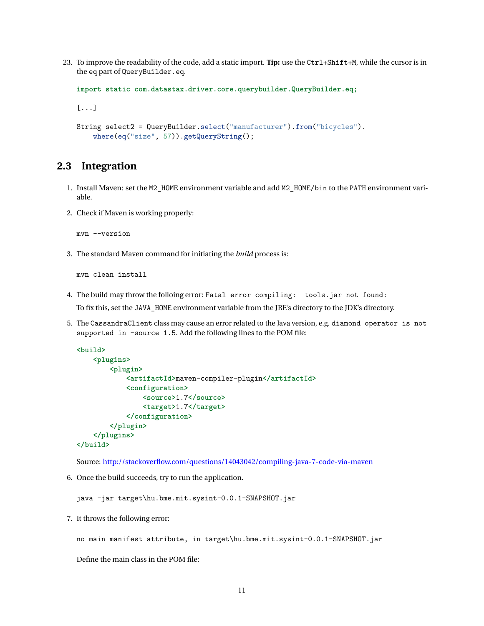23. To improve the readability of the code, add a static import. **Tip:** use the Ctrl+Shift+M, while the cursor is in the eq part of QueryBuilder.eq.

```
import static com.datastax.driver.core.querybuilder.QueryBuilder.eq;
[...]
String select2 = QueryBuilder.select("manufacturer").from("bicycles").
    where(eq("size", 57)).getQueryString();
```
## <span id="page-11-0"></span>**2.3 Integration**

- 1. Install Maven: set the M2\_HOME environment variable and add M2\_HOME/bin to the PATH environment variable.
- 2. Check if Maven is working properly:

mvn --version

3. The standard Maven command for initiating the *build* process is:

mvn clean install

- 4. The build may throw the folloing error: Fatal error compiling: tools.jar not found: To fix this, set the JAVA\_HOME environment variable from the JRE's directory to the JDK's directory.
- 5. The CassandraClient class may cause an error related to the Java version, e.g. diamond operator is not supported in -source 1.5. Add the following lines to the POM file:

```
<build>
    <plugins>
        <plugin>
            <artifactId>maven-compiler-plugin</artifactId>
            <configuration>
                <source>1.7</source>
                <target>1.7</target>
            </configuration>
        </plugin>
    </plugins>
</build>
```
Source: <http://stackoverflow.com/questions/14043042/compiling-java-7-code-via-maven>

6. Once the build succeeds, try to run the application.

java -jar target\hu.bme.mit.sysint-0.0.1-SNAPSHOT.jar

7. It throws the following error:

no main manifest attribute, in target\hu.bme.mit.sysint-0.0.1-SNAPSHOT.jar

Define the main class in the POM file: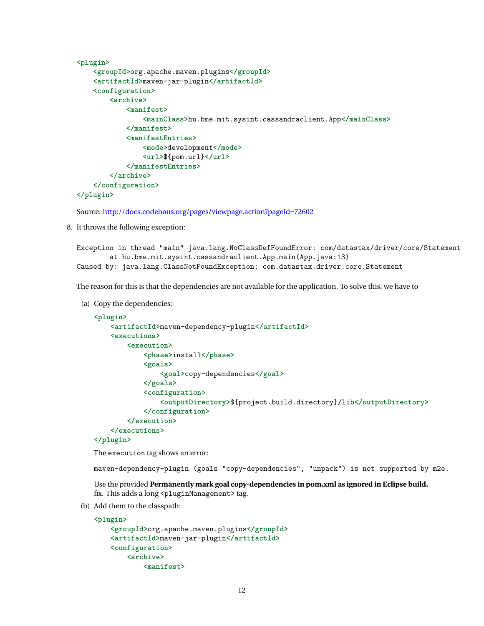```
<plugin>
    <groupId>org.apache.maven.plugins</groupId>
    <artifactId>maven-jar-plugin</artifactId>
    <configuration>
        <archive>
            <manifest>
                <mainClass>hu.bme.mit.sysint.cassandraclient.App</mainClass>
            </manifest>
            <manifestEntries>
                <mode>development</mode>
                <url>${pom.url}</url>
            </manifestEntries>
        </archive>
    </configuration>
</plugin>
```
Source: <http://docs.codehaus.org/pages/viewpage.action?pageId=72602>

8. It throws the following exception:

```
Exception in thread "main" java.lang.NoClassDefFoundError: com/datastax/driver/core/Statement
        at hu.bme.mit.sysint.cassandraclient.App.main(App.java:13)
Caused by: java.lang.ClassNotFoundException: com.datastax.driver.core.Statement
```
The reason for this is that the dependencies are not available for the application. To solve this, we have to

(a) Copy the dependencies:

```
<plugin>
    <artifactId>maven-dependency-plugin</artifactId>
    <executions>
        <execution>
            <phase>install</phase>
            <goals>
                <goal>copy-dependencies</goal>
            </goals>
            <configuration>
                <outputDirectory>${project.build.directory}/lib</outputDirectory>
            </configuration>
        </execution>
    </executions>
```
#### **</plugin>**

The execution tag shows an error:

maven-dependency-plugin (goals "copy-dependencies", "unpack") is not supported by m2e.

Use the provided **Permanently mark goal copy-dependencies in pom.xml as ignored in Eclipse build.** fix. This adds a long <pluginManagement> tag.

(b) Add them to the classpath:

```
<plugin>
   <groupId>org.apache.maven.plugins</groupId>
   <artifactId>maven-jar-plugin</artifactId>
   <configuration>
        <archive>
            <manifest>
```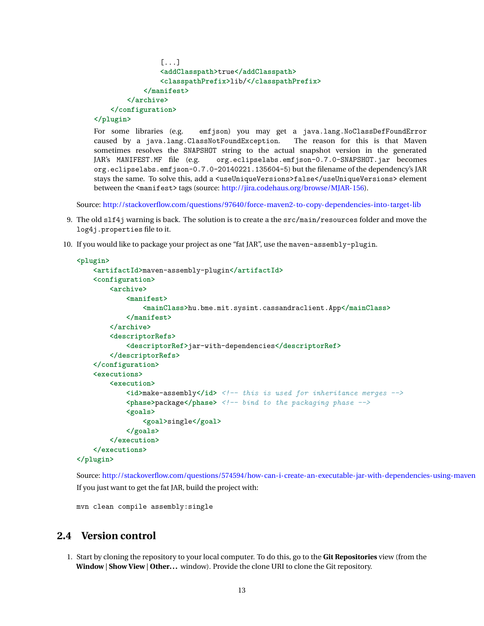```
[...]
                <addClasspath>true</addClasspath>
                <classpathPrefix>lib/</classpathPrefix>
            </manifest>
        </archive>
    </configuration>
</plugin>
```
For some libraries (e.g. emfjson) you may get a java.lang.NoClassDefFoundError caused by a java.lang.ClassNotFoundException. The reason for this is that Maven sometimes resolves the SNAPSHOT string to the actual snapshot version in the generated JAR's MANIFEST.MF file (e.g. org.eclipselabs.emfjson-0.7.0-SNAPSHOT.jar becomes org.eclipselabs.emfjson-0.7.0-20140221.135604-5) but the filename of the dependency's JAR stays the same. To solve this, add a <useUniqueVersions>false</useUniqueVersions> element between the <manifest> tags (source: [http://jira.codehaus.org/browse/MJAR-156\)](http://jira.codehaus.org/browse/MJAR-156).

Source: <http://stackoverflow.com/questions/97640/force-maven2-to-copy-dependencies-into-target-lib>

- 9. The old slf4j warning is back. The solution is to create a the src/main/resources folder and move the log4j.properties file to it.
- 10. If you would like to package your project as one "fat JAR", use the maven-assembly-plugin.

```
<plugin>
    <artifactId>maven-assembly-plugin</artifactId>
    <configuration>
        <archive>
            <manifest>
                <mainClass>hu.bme.mit.sysint.cassandraclient.App</mainClass>
            </manifest>
        </archive>
        <descriptorRefs>
            <descriptorRef>jar-with-dependencies</descriptorRef>
        </descriptorRefs>
    </configuration>
    <executions>
        <execution>
            <id>make-assembly</id> <!-- this is used for inheritance merges -->
            <phase>package</phase> <!-- bind to the packaging phase -->
            <goals>
                <goal>single</goal>
            </goals>
        </execution>
    </executions>
</plugin>
```
Source: <http://stackoverflow.com/questions/574594/how-can-i-create-an-executable-jar-with-dependencies-using-maven> If you just want to get the fat JAR, build the project with:

```
mvn clean compile assembly:single
```
### <span id="page-13-0"></span>**2.4 Version control**

1. Start by cloning the repository to your local computer. To do this, go to the **Git Repositories** view (from the **Window** | **Show View** | **Other...** window). Provide the clone URI to clone the Git repository.